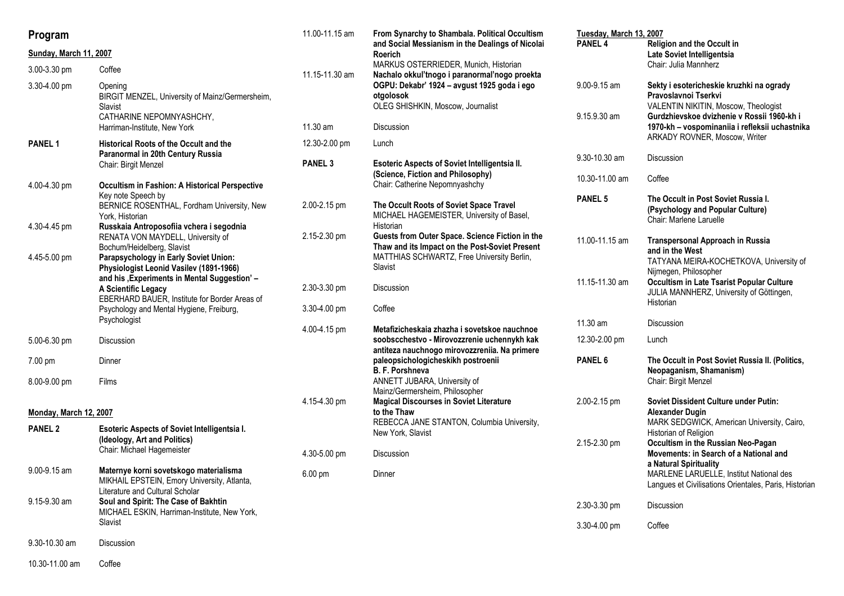| Program                |                                                                                                                                   | 11.00-11.15 am    | From Synarchy to Shambala. Political Occultism                                                                                                  | Tuesday, March 13, 2007      |                                                                                                                                                        |
|------------------------|-----------------------------------------------------------------------------------------------------------------------------------|-------------------|-------------------------------------------------------------------------------------------------------------------------------------------------|------------------------------|--------------------------------------------------------------------------------------------------------------------------------------------------------|
| Sunday, March 11, 2007 |                                                                                                                                   |                   | and Social Messianism in the Dealings of Nicolai<br>Roerich                                                                                     | PANEL <sub>4</sub>           | Religion and the Occult in<br>Late Soviet Intelligentsia                                                                                               |
| 3.00-3.30 pm           | Coffee                                                                                                                            | 11.15-11.30 am    | MARKUS OSTERRIEDER, Munich, Historian<br>Nachalo okkul'tnogo i paranormal'nogo proekta                                                          |                              | Chair: Julia Mannherz                                                                                                                                  |
| 3.30-4.00 pm           | Opening<br>BIRGIT MENZEL, University of Mainz/Germersheim,<br>Slavist<br>CATHARINE NEPOMNYASHCHY,                                 |                   | OGPU: Dekabr' 1924 - avgust 1925 goda i ego<br>otgolosok<br>OLEG SHISHKIN, Moscow, Journalist                                                   | 9.00-9.15 am<br>9.15.9.30 am | Sekty i esotericheskie kruzhki na ogrady<br>Pravoslavnoi Tserkvi<br>VALENTIN NIKITIN, Moscow, Theologist<br>Gurdzhievskoe dvizhenie v Rossii 1960-kh i |
|                        | Harriman-Institute, New York                                                                                                      | 11.30 am          | Discussion                                                                                                                                      |                              | 1970-kh - vospominaniia i refleksii uchastnika<br>ARKADY ROVNER, Moscow, Writer                                                                        |
| <b>PANEL 1</b>         | <b>Historical Roots of the Occult and the</b><br>Paranormal in 20th Century Russia                                                | 12.30-2.00 pm     | Lunch                                                                                                                                           |                              |                                                                                                                                                        |
|                        | Chair: Birgit Menzel                                                                                                              | <b>PANEL 3</b>    | Esoteric Aspects of Soviet Intelligentsia II.<br>(Science, Fiction and Philosophy)                                                              | 9.30-10.30 am                | Discussion                                                                                                                                             |
| 4.00-4.30 pm           | <b>Occultism in Fashion: A Historical Perspective</b><br>Key note Speech by                                                       |                   | Chair: Catherine Nepomnyashchy                                                                                                                  | 10.30-11.00 am               | Coffee                                                                                                                                                 |
| 4.30-4.45 pm           | BERNICE ROSENTHAL, Fordham University, New<br>York, Historian<br>Russkaia Antroposofiia vchera i segodnia                         | 2.00-2.15 pm      | The Occult Roots of Soviet Space Travel<br>MICHAEL HAGEMEISTER, University of Basel,<br>Historian                                               | <b>PANEL 5</b>               | The Occult in Post Soviet Russia I.<br>(Psychology and Popular Culture)<br>Chair: Marlene Laruelle                                                     |
|                        | RENATA VON MAYDELL, University of<br>Bochum/Heidelberg, Slavist                                                                   | 2.15-2.30 pm      | Guests from Outer Space. Science Fiction in the<br>Thaw and its Impact on the Post-Soviet Present<br>MATTHIAS SCHWARTZ, Free University Berlin, | 11.00-11.15 am               | <b>Transpersonal Approach in Russia</b><br>and in the West                                                                                             |
| 4.45-5.00 pm           | Parapsychology in Early Soviet Union:<br>Physiologist Leonid Vasilev (1891-1966)<br>and his , Experiments in Mental Suggestion' - |                   | Slavist                                                                                                                                         | 11.15-11.30 am               | TATYANA MEIRA-KOCHETKOVA, University of<br>Nijmegen, Philosopher<br>Occultism in Late Tsarist Popular Culture                                          |
|                        | A Scientific Legacy<br>EBERHARD BAUER, Institute for Border Areas of                                                              | 2.30-3.30 pm      | Discussion                                                                                                                                      |                              | JULIA MANNHERZ, University of Göttingen,<br>Historian                                                                                                  |
|                        | Psychology and Mental Hygiene, Freiburg,<br>Psychologist                                                                          | 3.30-4.00 pm      | Coffee                                                                                                                                          |                              |                                                                                                                                                        |
|                        |                                                                                                                                   | 4.00-4.15 pm      | Metafizicheskaia zhazha i sovetskoe nauchnoe                                                                                                    | 11.30 am                     | <b>Discussion</b>                                                                                                                                      |
| 5.00-6.30 pm           | Discussion                                                                                                                        |                   | soobscchestvo - Mirovozzrenie uchennykh kak<br>antiteza nauchnogo mirovozzreniia. Na primere                                                    | 12.30-2.00 pm                | Lunch                                                                                                                                                  |
| 7.00 pm                | Dinner                                                                                                                            |                   | paleopsichologicheskikh postroenii<br>B. F. Porshneva                                                                                           | PANEL 6                      | The Occult in Post Soviet Russia II. (Politics,<br>Neopaganism, Shamanism)                                                                             |
| 8.00-9.00 pm           | Films                                                                                                                             |                   | ANNETT JUBARA, University of<br>Mainz/Germersheim, Philosopher                                                                                  |                              | Chair: Birgit Menzel                                                                                                                                   |
| Monday, March 12, 2007 |                                                                                                                                   | 4.15-4.30 pm      | <b>Magical Discourses in Soviet Literature</b><br>to the Thaw                                                                                   | 2.00-2.15 pm                 | Soviet Dissident Culture under Putin:<br><b>Alexander Dugin</b>                                                                                        |
| <b>PANEL 2</b>         | <b>Esoteric Aspects of Soviet Intelligentsia I.</b>                                                                               |                   | REBECCA JANE STANTON, Columbia University,<br>New York, Slavist                                                                                 |                              | MARK SEDGWICK, American University, Cairo,<br>Historian of Religion                                                                                    |
|                        | (Ideology, Art and Politics)<br>Chair: Michael Hagemeister                                                                        | 4.30-5.00 pm      | Discussion                                                                                                                                      | 2.15-2.30 pm                 | Occultism in the Russian Neo-Pagan<br>Movements: in Search of a National and                                                                           |
| 9.00-9.15 am           | Maternye korni sovetskogo materialisma                                                                                            |                   |                                                                                                                                                 |                              | a Natural Spirituality                                                                                                                                 |
|                        | MIKHAIL EPSTEIN, Emory University, Atlanta,<br>Literature and Cultural Scholar                                                    | $6.00 \text{ pm}$ | Dinner                                                                                                                                          |                              | MARLENE LARUELLE, Institut National des<br>Langues et Civilisations Orientales, Paris, Historian                                                       |
| 9.15-9.30 am           | Soul and Spirit: The Case of Bakhtin<br>MICHAEL ESKIN, Harriman-Institute, New York,                                              |                   |                                                                                                                                                 | 2.30-3.30 pm                 | Discussion                                                                                                                                             |
|                        | Slavist                                                                                                                           |                   |                                                                                                                                                 | 3.30-4.00 pm                 | Coffee                                                                                                                                                 |
| 9.30-10.30 am          | Discussion                                                                                                                        |                   |                                                                                                                                                 |                              |                                                                                                                                                        |

10.30-11.00 am Coffee